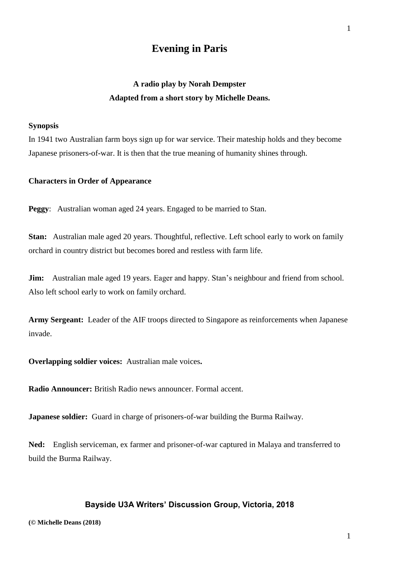# **Evening in Paris**

# **A radio play by Norah Dempster Adapted from a short story by Michelle Deans.**

#### **Synopsis**

In 1941 two Australian farm boys sign up for war service. Their mateship holds and they become Japanese prisoners-of-war. It is then that the true meaning of humanity shines through.

#### **Characters in Order of Appearance**

**Peggy**: Australian woman aged 24 years. Engaged to be married to Stan.

**Stan:** Australian male aged 20 years. Thoughtful, reflective. Left school early to work on family orchard in country district but becomes bored and restless with farm life.

**Jim:** Australian male aged 19 years. Eager and happy. Stan's neighbour and friend from school. Also left school early to work on family orchard.

**Army Sergeant:** Leader of the AIF troops directed to Singapore as reinforcements when Japanese invade.

**Overlapping soldier voices:** Australian male voices**.**

**Radio Announcer:** British Radio news announcer. Formal accent.

**Japanese soldier:** Guard in charge of prisoners-of-war building the Burma Railway.

**Ned:** English serviceman, ex farmer and prisoner-of-war captured in Malaya and transferred to build the Burma Railway.

### **Bayside U3A Writers' Discussion Group, Victoria, 2018**

1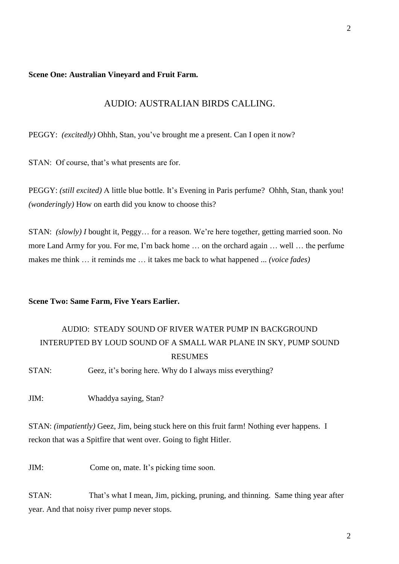#### **Scene One: Australian Vineyard and Fruit Farm.**

# AUDIO: AUSTRALIAN BIRDS CALLING.

PEGGY: *(excitedly)* Ohhh, Stan, you've brought me a present. Can I open it now?

STAN: Of course, that's what presents are for.

PEGGY: *(still excited)* A little blue bottle. It's Evening in Paris perfume? Ohhh, Stan, thank you! *(wonderingly)* How on earth did you know to choose this?

STAN: *(slowly) I* bought it, Peggy… for a reason. We're here together, getting married soon. No more Land Army for you. For me, I'm back home … on the orchard again … well … the perfume makes me think … it reminds me … it takes me back to what happened ... *(voice fades)*

### **Scene Two: Same Farm, Five Years Earlier.**

# AUDIO: STEADY SOUND OF RIVER WATER PUMP IN BACKGROUND INTERUPTED BY LOUD SOUND OF A SMALL WAR PLANE IN SKY, PUMP SOUND RESUMES

STAN: Geez, it's boring here. Why do I always miss everything?

JIM: Whaddya saying, Stan?

STAN: *(impatiently)* Geez, Jim, being stuck here on this fruit farm! Nothing ever happens. I reckon that was a Spitfire that went over. Going to fight Hitler.

JIM: Come on, mate. It's picking time soon.

STAN: That's what I mean, Jim, picking, pruning, and thinning. Same thing year after year. And that noisy river pump never stops.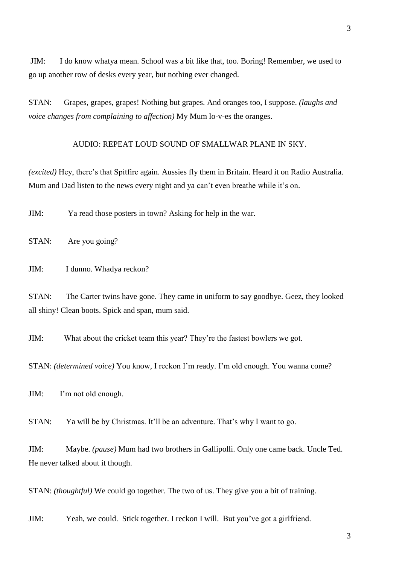JIM: I do know whatya mean. School was a bit like that, too. Boring! Remember, we used to go up another row of desks every year, but nothing ever changed.

STAN: Grapes, grapes, grapes! Nothing but grapes. And oranges too, I suppose. *(laughs and voice changes from complaining to affection)* My Mum lo-v-es the oranges.

# AUDIO: REPEAT LOUD SOUND OF SMALLWAR PLANE IN SKY.

*(excited)* Hey, there's that Spitfire again. Aussies fly them in Britain. Heard it on Radio Australia. Mum and Dad listen to the news every night and ya can't even breathe while it's on.

JIM: Ya read those posters in town? Asking for help in the war.

STAN: Are you going?

JIM: I dunno. Whadya reckon?

STAN: The Carter twins have gone. They came in uniform to say goodbye. Geez, they looked all shiny! Clean boots. Spick and span, mum said.

JIM: What about the cricket team this year? They're the fastest bowlers we got.

STAN: *(determined voice)* You know, I reckon I'm ready. I'm old enough. You wanna come?

JIM: I'm not old enough.

STAN: Ya will be by Christmas. It'll be an adventure. That's why I want to go.

JIM: Maybe. *(pause)* Mum had two brothers in Gallipolli. Only one came back. Uncle Ted. He never talked about it though.

STAN: *(thoughtful)* We could go together. The two of us. They give you a bit of training.

JIM: Yeah, we could. Stick together. I reckon I will. But you've got a girlfriend.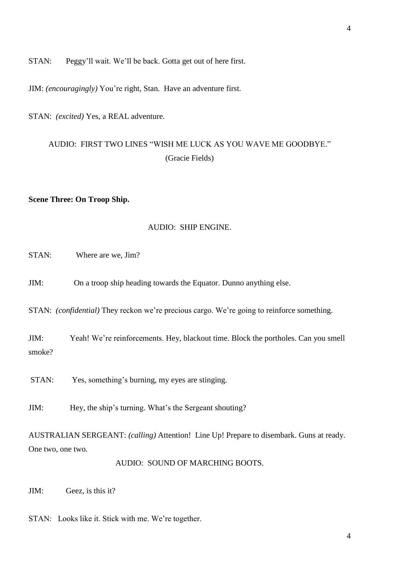STAN: Peggy'll wait. We'll be back. Gotta get out of here first.

JIM: *(encouragingly)* You're right, Stan. Have an adventure first.

STAN: *(excited)* Yes, a REAL adventure.

# AUDIO: FIRST TWO LINES "WISH ME LUCK AS YOU WAVE ME GOODBYE." (Gracie Fields)

#### **Scene Three: On Troop Ship.**

### AUDIO: SHIP ENGINE.

STAN: Where are we, Jim?

JIM: On a troop ship heading towards the Equator. Dunno anything else.

STAN: *(confidential)* They reckon we're precious cargo. We're going to reinforce something.

JIM: Yeah! We're reinforcements. Hey, blackout time. Block the portholes. Can you smell smoke?

STAN: Yes, something's burning, my eyes are stinging.

JIM: Hey, the ship's turning. What's the Sergeant shouting?

AUSTRALIAN SERGEANT: *(calling)* Attention! Line Up! Prepare to disembark. Guns at ready. One two, one two.

AUDIO: SOUND OF MARCHING BOOTS.

JIM: Geez, is this it?

STAN: Looks like it. Stick with me. We're together.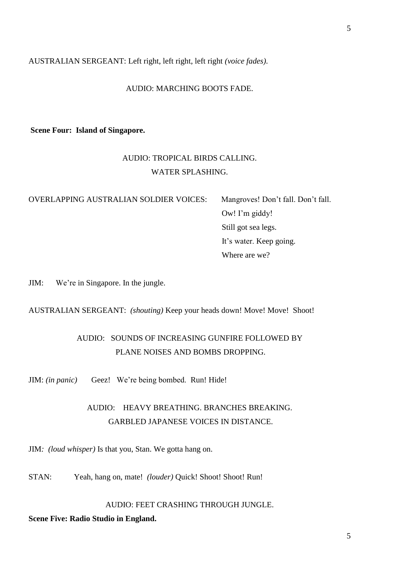AUSTRALIAN SERGEANT: Left right, left right, left right *(voice fades).*

#### AUDIO: MARCHING BOOTS FADE.

# **Scene Four: Island of Singapore.**

# AUDIO: TROPICAL BIRDS CALLING. WATER SPLASHING.

OVERLAPPING AUSTRALIAN SOLDIER VOICES: Mangroves! Don't fall. Don't fall.

 Ow! I'm giddy! Still got sea legs. It's water. Keep going. Where are we?

JIM: We're in Singapore. In the jungle.

AUSTRALIAN SERGEANT: *(shouting)* Keep your heads down! Move! Move! Shoot!

# AUDIO: SOUNDS OF INCREASING GUNFIRE FOLLOWED BY PLANE NOISES AND BOMBS DROPPING.

JIM: *(in panic)* Geez! We're being bombed. Run! Hide!

# AUDIO: HEAVY BREATHING. BRANCHES BREAKING. GARBLED JAPANESE VOICES IN DISTANCE.

JIM*: (loud whisper)* Is that you, Stan. We gotta hang on.

STAN: Yeah, hang on, mate! *(louder)* Quick! Shoot! Shoot! Run!

# AUDIO: FEET CRASHING THROUGH JUNGLE.

#### **Scene Five: Radio Studio in England.**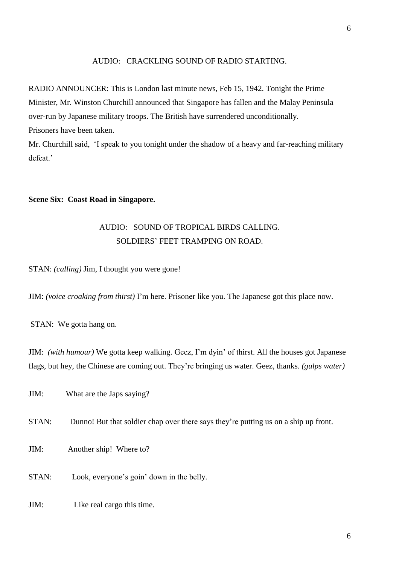#### AUDIO: CRACKLING SOUND OF RADIO STARTING.

RADIO ANNOUNCER: This is London last minute news, Feb 15, 1942. Tonight the Prime Minister, Mr. Winston Churchill announced that Singapore has fallen and the Malay Peninsula over-run by Japanese military troops. The British have surrendered unconditionally. Prisoners have been taken.

Mr. Churchill said, 'I speak to you tonight under the shadow of a heavy and far-reaching military defeat.'

#### **Scene Six: Coast Road in Singapore.**

# AUDIO: SOUND OF TROPICAL BIRDS CALLING. SOLDIERS' FEET TRAMPING ON ROAD.

STAN: *(calling)* Jim, I thought you were gone!

JIM: *(voice croaking from thirst)* I'm here. Prisoner like you. The Japanese got this place now.

STAN: We gotta hang on.

JIM: *(with humour)* We gotta keep walking. Geez, I'm dyin' of thirst. All the houses got Japanese flags, but hey, the Chinese are coming out. They're bringing us water. Geez, thanks. *(gulps water)*

JIM: What are the Japs saying?

- STAN: Dunno! But that soldier chap over there says they're putting us on a ship up front.
- JIM: Another ship! Where to?
- STAN: Look, everyone's goin' down in the belly.
- JIM: Like real cargo this time.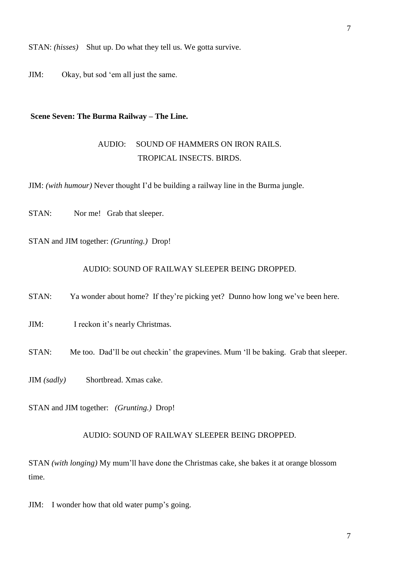STAN: *(hisses)* Shut up. Do what they tell us. We gotta survive.

JIM: Okay, but sod 'em all just the same.

### **Scene Seven: The Burma Railway – The Line.**

# AUDIO: SOUND OF HAMMERS ON IRON RAILS. TROPICAL INSECTS. BIRDS.

JIM: *(with humour)* Never thought I'd be building a railway line in the Burma jungle.

STAN: Nor me! Grab that sleeper.

STAN and JIM together: *(Grunting.)* Drop!

### AUDIO: SOUND OF RAILWAY SLEEPER BEING DROPPED.

STAN: Ya wonder about home? If they're picking yet? Dunno how long we've been here.

JIM: I reckon it's nearly Christmas.

STAN: Me too. Dad'll be out checkin' the grapevines. Mum 'll be baking. Grab that sleeper.

JIM *(sadly)* Shortbread. Xmas cake.

STAN and JIM together: *(Grunting.)* Drop!

#### AUDIO: SOUND OF RAILWAY SLEEPER BEING DROPPED.

STAN *(with longing)* My mum'll have done the Christmas cake, she bakes it at orange blossom time.

JIM: I wonder how that old water pump's going.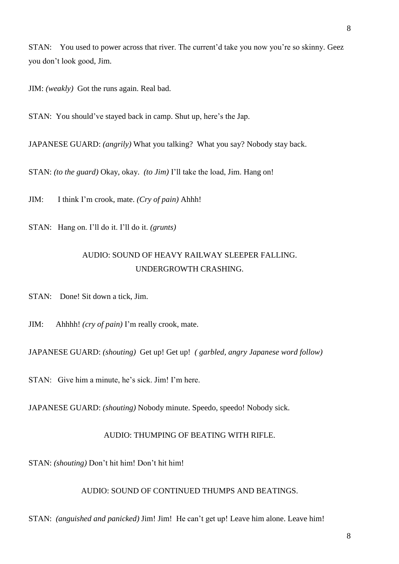STAN: You used to power across that river. The current'd take you now you're so skinny. Geez you don't look good, Jim.

JIM: *(weakly)* Got the runs again. Real bad.

STAN: You should've stayed back in camp. Shut up, here's the Jap.

JAPANESE GUARD: *(angrily)* What you talking? What you say? Nobody stay back.

STAN: *(to the guard)* Okay, okay. *(to Jim)* I'll take the load, Jim. Hang on!

JIM: I think I'm crook, mate. *(Cry of pain)* Ahhh!

STAN: Hang on. I'll do it. I'll do it. *(grunts)*

# AUDIO: SOUND OF HEAVY RAILWAY SLEEPER FALLING. UNDERGROWTH CRASHING.

STAN: Done! Sit down a tick, Jim.

JIM: Ahhhh! *(cry of pain)* I'm really crook, mate.

JAPANESE GUARD: *(shouting)* Get up! Get up! *( garbled, angry Japanese word follow)* 

STAN: Give him a minute, he's sick. Jim! I'm here.

JAPANESE GUARD: *(shouting)* Nobody minute. Speedo, speedo! Nobody sick.

#### AUDIO: THUMPING OF BEATING WITH RIFLE.

STAN: *(shouting)* Don't hit him! Don't hit him!

AUDIO: SOUND OF CONTINUED THUMPS AND BEATINGS.

STAN: *(anguished and panicked)* Jim! Jim! He can't get up! Leave him alone. Leave him!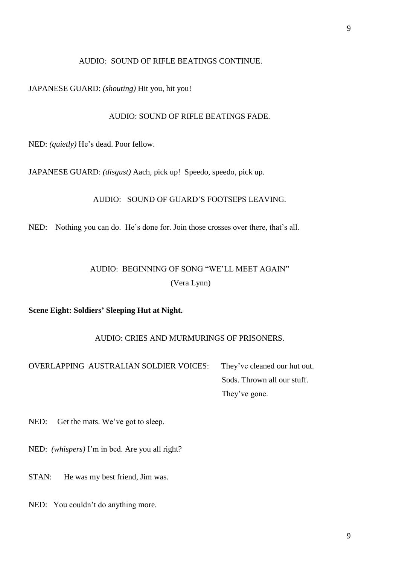### AUDIO: SOUND OF RIFLE BEATINGS CONTINUE.

JAPANESE GUARD: *(shouting)* Hit you, hit you!

### AUDIO: SOUND OF RIFLE BEATINGS FADE.

NED: *(quietly)* He's dead. Poor fellow.

JAPANESE GUARD: *(disgust)* Aach, pick up! Speedo, speedo, pick up.

AUDIO: SOUND OF GUARD'S FOOTSEPS LEAVING.

NED: Nothing you can do. He's done for. Join those crosses over there, that's all.

# AUDIO: BEGINNING OF SONG "WE'LL MEET AGAIN" (Vera Lynn)

**Scene Eight: Soldiers' Sleeping Hut at Night.** 

# AUDIO: CRIES AND MURMURINGS OF PRISONERS.

OVERLAPPING AUSTRALIAN SOLDIER VOICES: They've cleaned our hut out. Sods. Thrown all our stuff. They've gone.

NED: Get the mats. We've got to sleep.

NED: *(whispers)* I'm in bed. Are you all right?

STAN: He was my best friend, Jim was.

NED: You couldn't do anything more.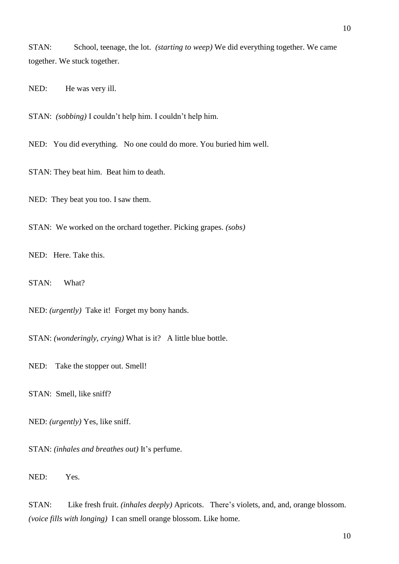STAN: School, teenage, the lot. *(starting to weep)* We did everything together. We came together. We stuck together.

NED: He was very ill.

STAN: *(sobbing)* I couldn't help him. I couldn't help him.

NED: You did everything. No one could do more. You buried him well.

STAN: They beat him. Beat him to death.

NED: They beat you too. I saw them.

STAN: We worked on the orchard together. Picking grapes. *(sobs)*

NED: Here. Take this.

STAN: What?

NED: *(urgently)* Take it! Forget my bony hands.

STAN: *(wonderingly, crying)* What is it? A little blue bottle.

NED: Take the stopper out. Smell!

STAN: Smell, like sniff?

NED: *(urgently)* Yes, like sniff.

STAN: *(inhales and breathes out)* It's perfume.

NED: Yes.

STAN: Like fresh fruit. *(inhales deeply)* Apricots. There's violets, and, and, orange blossom. *(voice fills with longing)* I can smell orange blossom. Like home.